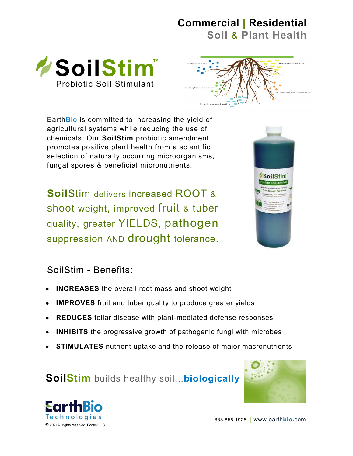## **Commercial | Residential**

**Soil** & **Plant Health**





Earth Bio is committed to increasing the yield of agricultural systems while reducing the use of chemicals. Our **SoilStim** probiotic amendment promotes positive plant health from a scientific selection of naturally occurring microorganisms, fungal spores & beneficial micronutrients.

**Soil**Stim delivers increased ROOT & shoot weight, improved fruit & tuber quality, greater YIELDS, pathogen suppression AND drought tolerance.



## SoilStim - Benefits:

- **INCREASES** the overall root mass and shoot weight
- **IMPROVES** fruit and tuber quality to produce greater yields  $\bullet$
- **REDUCES** foliar disease with plant-mediated defense responses
- **INHIBITS** the progressive growth of pathogenic fungi with microbes
- **STIMULATES** nutrient uptake and the release of major macronutrients

**SoilStim** builds healthy soil...**biologically**